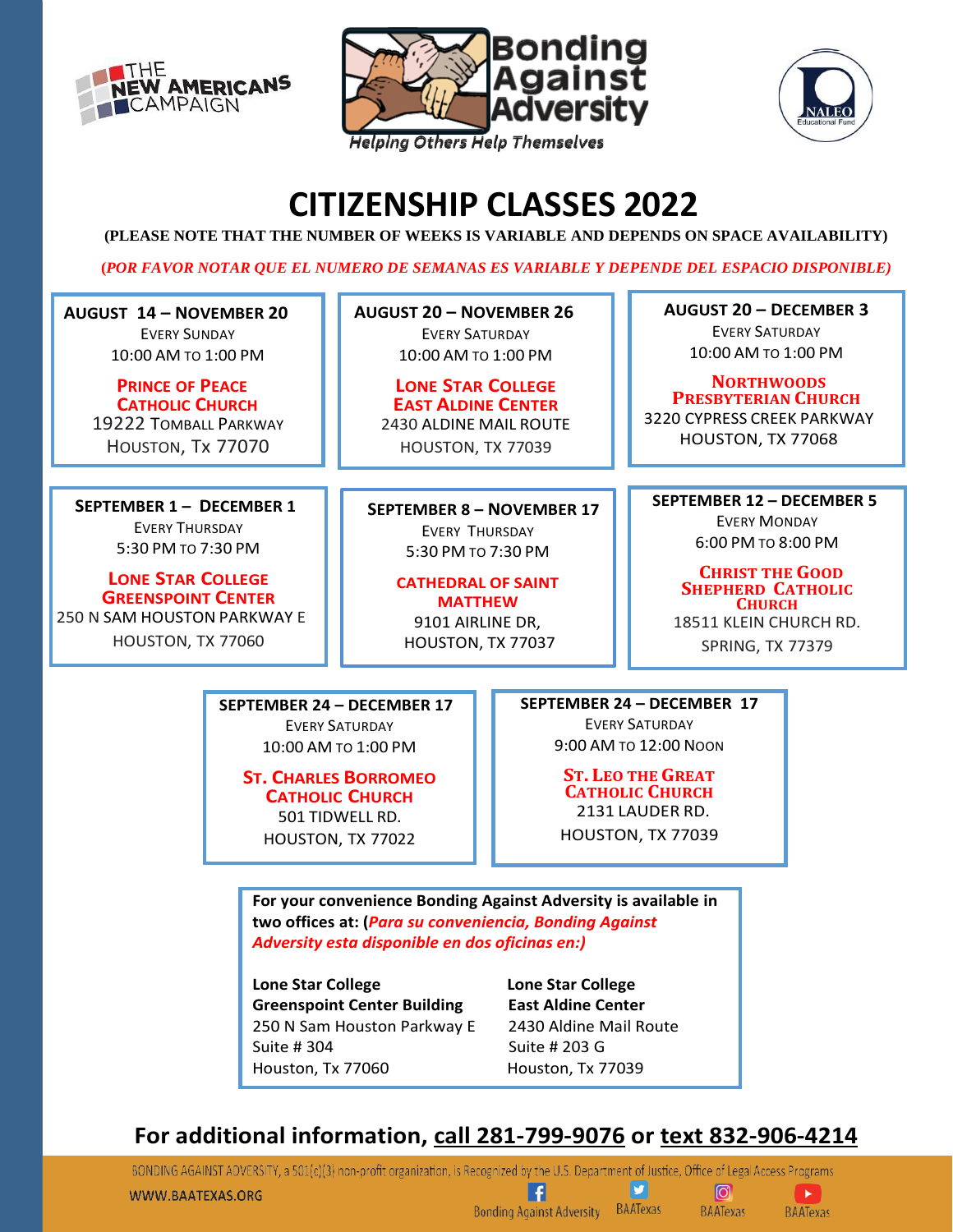





# **CITIZENSHIP CLASSES 2022**

**(PLEASE NOTE THAT THE NUMBER OF WEEKS IS VARIABLE AND DEPENDS ON SPACE AVAILABILITY)**

**(***POR FAVOR NOTAR QUE EL NUMERO DE SEMANAS ES VARIABLE Y DEPENDE DEL ESPACIO DISPONIBLE)*

**AUGUST 14 – NOVEMBER 20** EVERY SUNDAY 10:00 AM TO 1:00 PM

> **PRINCE OF PEACE CATHOLIC CHURCH** 19222 TOMBALL PARKWAY HOUSTON, Tx 77070

 **SEPTEMBER 1 – DECEMBER 1** EVERY THURSDAY 5:30 PM TO 7:30 PM

**LONE STAR COLLEGE GREENSPOINT CENTER**  250 N SAM HOUSTON PARKWAY E HOUSTON, TX 77060

**AUGUST 20 – NOVEMBER 26** EVERY SATURDAY 10:00 AM TO 1:00 PM

**LONE STAR COLLEGE EAST ALDINE CENTER** 2430 ALDINE MAIL ROUTE HOUSTON, TX 77039

**SEPTEMBER 8 – NOVEMBER 17** EVERY THURSDAY 5:30 PM TO 7:30 PM

> **CATHEDRAL OF SAINT MATTHEW** 9101 AIRLINE DR, HOUSTON, TX 77037

**AUGUST 20 – DECEMBER 3** EVERY SATURDAY 10:00 AM TO 1:00 PM

**NORTHWOODS PRESBYTERIAN CHURCH** 3220 CYPRESS CREEK PARKWAY HOUSTON, TX 77068

 **SEPTEMBER 12 – DECEMBER 5**

EVERY MONDAY 6:00 PM TO 8:00 PM

**CHRIST THE GOOD SHEPHERD CATHOLIC CHURCH**

18511 KLEIN CHURCH RD. SPRING, TX 77379

**SEPTEMBER 24 – DECEMBER 17** EVERY SATURDAY 10:00 AM TO 1:00 PM

> **ST. CHARLES BORROMEO CATHOLIC CHURCH** 501 TIDWELL RD. HOUSTON, TX 77022

**SEPTEMBER 24 – DECEMBER 17**

EVERY SATURDAY 9:00 AM TO 12:00 NOON

**ST. LEO THE GREAT CATHOLIC CHURCH** 2131 LAUDER RD. HOUSTON, TX 77039

**For your convenience Bonding Against Adversity is available in two offices at: (***Para su conveniencia, Bonding Against Adversity esta disponible en dos oficinas en:)*

**Lone Star College Lone Star College Greenspoint Center Building East Aldine Center** 250 N Sam Houston Parkway E 2430 Aldine Mail Route Suite # 304 Suite # 203 G Houston, Tx 77060 Houston, Tx 77039

# **For additional information, call 281-799-9076 or text 832-906-4214**

BONDING AGAINST ADVERSITY, a 501(c)(3) non-profit organization, is Recognized by the U.S. Department of Justice, Office of Legal Access Programs b  $\boxed{0}$ Ы WWW.BAATEXAS.ORG **Bonding Against Adversity BAATexas BAATexas BAATexas**